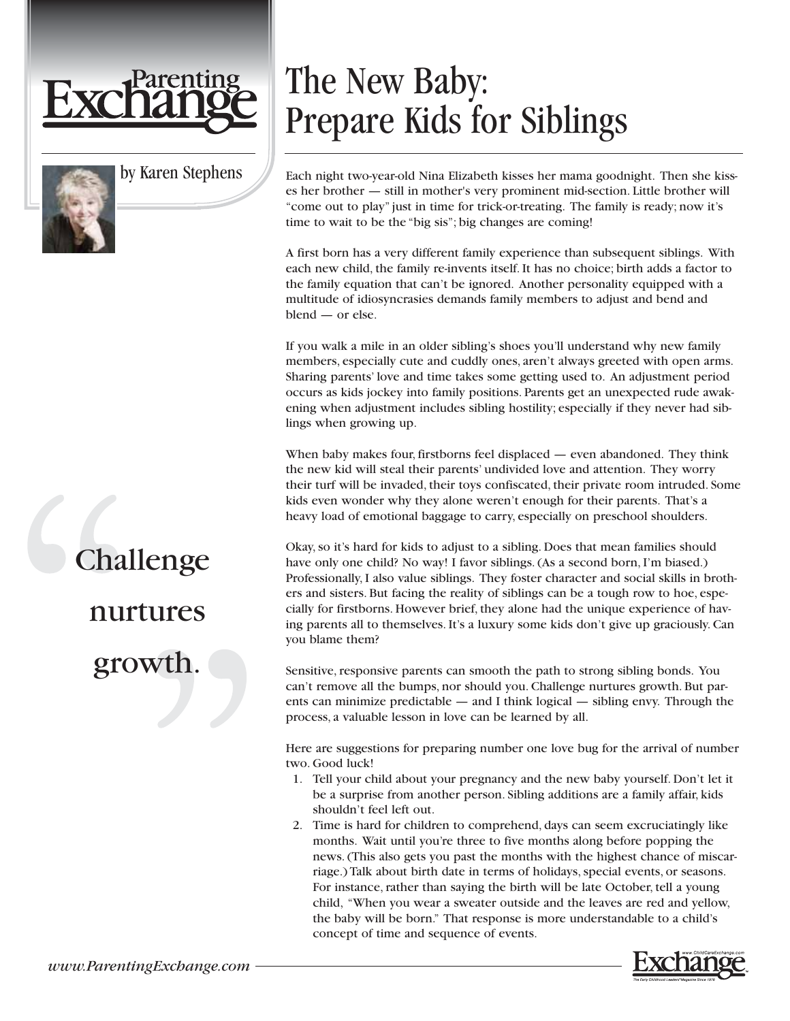

by Karen Stephens

## The New Baby: Prepare Kids for Siblings

Each night two-year-old Nina Elizabeth kisses her mama goodnight. Then she kisses her brother — still in mother's very prominent mid-section. Little brother will "come out to play" just in time for trick-or-treating. The family is ready; now it's time to wait to be the "big sis"; big changes are coming!

A first born has a very different family experience than subsequent siblings. With each new child, the family re-invents itself. It has no choice; birth adds a factor to the family equation that can't be ignored. Another personality equipped with a multitude of idiosyncrasies demands family members to adjust and bend and blend — or else.

If you walk a mile in an older sibling's shoes you'll understand why new family members, especially cute and cuddly ones, aren't always greeted with open arms. Sharing parents' love and time takes some getting used to. An adjustment period occurs as kids jockey into family positions. Parents get an unexpected rude awakening when adjustment includes sibling hostility; especially if they never had siblings when growing up.

When baby makes four, firstborns feel displaced — even abandoned. They think the new kid will steal their parents' undivided love and attention. They worry their turf will be invaded, their toys confiscated, their private room intruded. Some kids even wonder why they alone weren't enough for their parents. That's a heavy load of emotional baggage to carry, especially on preschool shoulders.

Okay, so it's hard for kids to adjust to a sibling. Does that mean families should have only one child? No way! I favor siblings. (As a second born, I'm biased.) Professionally, I also value siblings. They foster character and social skills in brothers and sisters. But facing the reality of siblings can be a tough row to hoe, especially for firstborns. However brief, they alone had the unique experience of having parents all to themselves. It's a luxury some kids don't give up graciously. Can you blame them?

Sensitive, responsive parents can smooth the path to strong sibling bonds. You can't remove all the bumps, nor should you. Challenge nurtures growth. But parents can minimize predictable — and I think logical — sibling envy. Through the process, a valuable lesson in love can be learned by all.

Here are suggestions for preparing number one love bug for the arrival of number two. Good luck!

- 1. Tell your child about your pregnancy and the new baby yourself. Don't let it be a surprise from another person. Sibling additions are a family affair, kids shouldn't feel left out.
- 2. Time is hard for children to comprehend, days can seem excruciatingly like months. Wait until you're three to five months along before popping the news. (This also gets you past the months with the highest chance of miscarriage.) Talk about birth date in terms of holidays, special events, or seasons. For instance, rather than saying the birth will be late October, tell a young child, "When you wear a sweater outside and the leaves are red and yellow, the baby will be born." That response is more understandable to a child's concept of time and sequence of events.



## Challenge nurtures growth.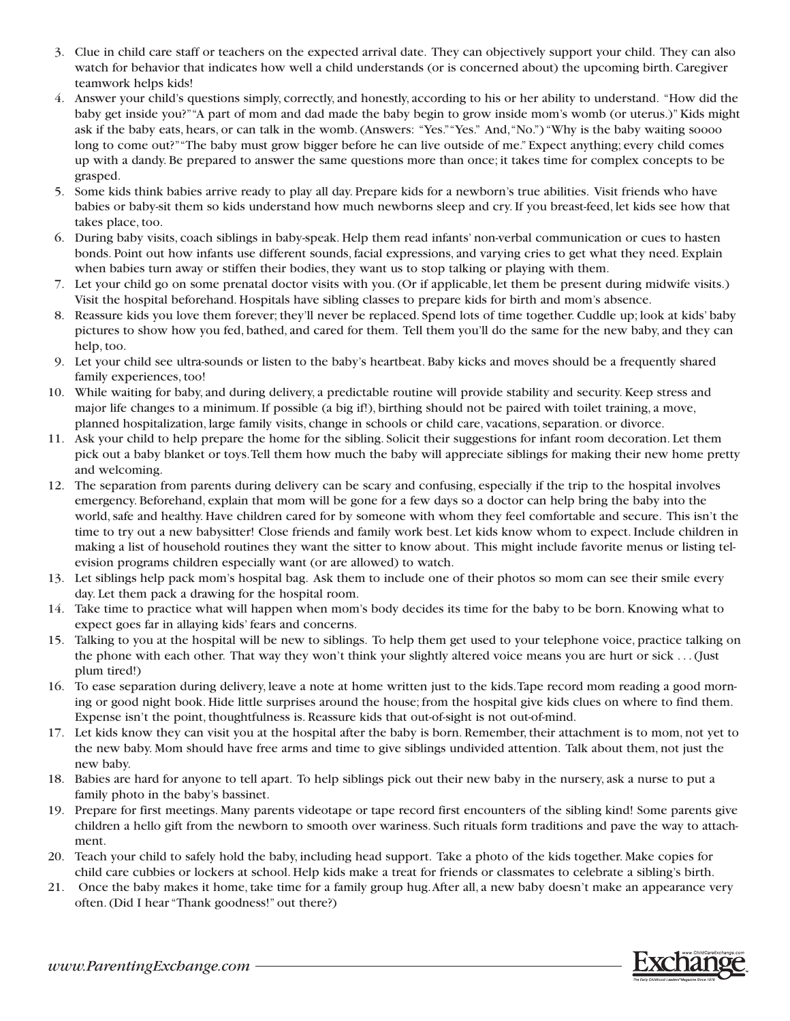- 3. Clue in child care staff or teachers on the expected arrival date. They can objectively support your child. They can also watch for behavior that indicates how well a child understands (or is concerned about) the upcoming birth. Caregiver teamwork helps kids!
- 4. Answer your child's questions simply, correctly, and honestly, according to his or her ability to understand. "How did the baby get inside you?""A part of mom and dad made the baby begin to grow inside mom's womb (or uterus.)" Kids might ask if the baby eats, hears, or can talk in the womb. (Answers: "Yes.""Yes." And,"No.") "Why is the baby waiting soooo long to come out?""The baby must grow bigger before he can live outside of me." Expect anything; every child comes up with a dandy. Be prepared to answer the same questions more than once; it takes time for complex concepts to be grasped.
- 5. Some kids think babies arrive ready to play all day. Prepare kids for a newborn's true abilities. Visit friends who have babies or baby-sit them so kids understand how much newborns sleep and cry. If you breast-feed, let kids see how that takes place, too.
- 6. During baby visits, coach siblings in baby-speak. Help them read infants' non-verbal communication or cues to hasten bonds. Point out how infants use different sounds, facial expressions, and varying cries to get what they need. Explain when babies turn away or stiffen their bodies, they want us to stop talking or playing with them.
- 7. Let your child go on some prenatal doctor visits with you. (Or if applicable, let them be present during midwife visits.) Visit the hospital beforehand. Hospitals have sibling classes to prepare kids for birth and mom's absence.
- 8. Reassure kids you love them forever; they'll never be replaced. Spend lots of time together. Cuddle up; look at kids' baby pictures to show how you fed, bathed, and cared for them. Tell them you'll do the same for the new baby, and they can help, too.
- 9. Let your child see ultra-sounds or listen to the baby's heartbeat. Baby kicks and moves should be a frequently shared family experiences, too!
- 10. While waiting for baby, and during delivery, a predictable routine will provide stability and security. Keep stress and major life changes to a minimum. If possible (a big if!), birthing should not be paired with toilet training, a move, planned hospitalization, large family visits, change in schools or child care, vacations, separation. or divorce.
- 11. Ask your child to help prepare the home for the sibling. Solicit their suggestions for infant room decoration. Let them pick out a baby blanket or toys.Tell them how much the baby will appreciate siblings for making their new home pretty and welcoming.
- 12. The separation from parents during delivery can be scary and confusing, especially if the trip to the hospital involves emergency. Beforehand, explain that mom will be gone for a few days so a doctor can help bring the baby into the world, safe and healthy. Have children cared for by someone with whom they feel comfortable and secure. This isn't the time to try out a new babysitter! Close friends and family work best. Let kids know whom to expect. Include children in making a list of household routines they want the sitter to know about. This might include favorite menus or listing television programs children especially want (or are allowed) to watch.
- 13. Let siblings help pack mom's hospital bag. Ask them to include one of their photos so mom can see their smile every day. Let them pack a drawing for the hospital room.
- 14. Take time to practice what will happen when mom's body decides its time for the baby to be born. Knowing what to expect goes far in allaying kids' fears and concerns.
- 15. Talking to you at the hospital will be new to siblings. To help them get used to your telephone voice, practice talking on the phone with each other. That way they won't think your slightly altered voice means you are hurt or sick . . . (Just plum tired!)
- 16. To ease separation during delivery, leave a note at home written just to the kids.Tape record mom reading a good morning or good night book. Hide little surprises around the house; from the hospital give kids clues on where to find them. Expense isn't the point, thoughtfulness is. Reassure kids that out-of-sight is not out-of-mind.
- 17. Let kids know they can visit you at the hospital after the baby is born. Remember, their attachment is to mom, not yet to the new baby. Mom should have free arms and time to give siblings undivided attention. Talk about them, not just the new baby.
- 18. Babies are hard for anyone to tell apart. To help siblings pick out their new baby in the nursery, ask a nurse to put a family photo in the baby's bassinet.
- 19. Prepare for first meetings. Many parents videotape or tape record first encounters of the sibling kind! Some parents give children a hello gift from the newborn to smooth over wariness. Such rituals form traditions and pave the way to attachment.
- 20. Teach your child to safely hold the baby, including head support. Take a photo of the kids together. Make copies for child care cubbies or lockers at school. Help kids make a treat for friends or classmates to celebrate a sibling's birth.
- 21. Once the baby makes it home, take time for a family group hug.After all, a new baby doesn't make an appearance very often. (Did I hear "Thank goodness!" out there?)